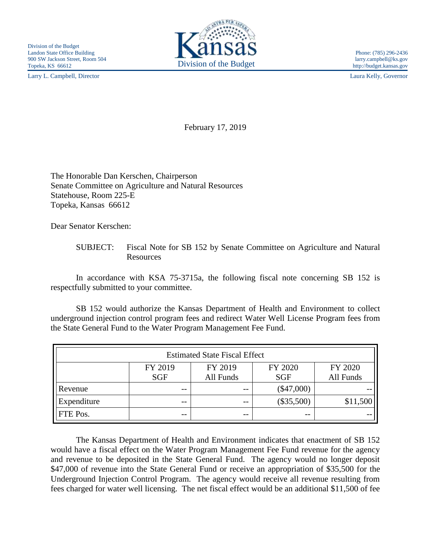Larry L. Campbell, Director Laura Kelly, Governor



http://budget.kansas.gov

February 17, 2019

The Honorable Dan Kerschen, Chairperson Senate Committee on Agriculture and Natural Resources Statehouse, Room 225-E Topeka, Kansas 66612

Dear Senator Kerschen:

## SUBJECT: Fiscal Note for SB 152 by Senate Committee on Agriculture and Natural Resources

In accordance with KSA 75-3715a, the following fiscal note concerning SB 152 is respectfully submitted to your committee.

SB 152 would authorize the Kansas Department of Health and Environment to collect underground injection control program fees and redirect Water Well License Program fees from the State General Fund to the Water Program Management Fee Fund.

| <b>Estimated State Fiscal Effect</b> |            |           |              |           |
|--------------------------------------|------------|-----------|--------------|-----------|
|                                      | FY 2019    | FY 2019   | FY 2020      | FY 2020   |
|                                      | <b>SGF</b> | All Funds | <b>SGF</b>   | All Funds |
| Revenue                              | $- -$      | $ -$      | $(\$47,000)$ |           |
| Expenditure                          | --         | $ -$      | $(\$35,500)$ | \$11,500  |
| FTE Pos.                             | --         | --        | $ -$         |           |

The Kansas Department of Health and Environment indicates that enactment of SB 152 would have a fiscal effect on the Water Program Management Fee Fund revenue for the agency and revenue to be deposited in the State General Fund. The agency would no longer deposit \$47,000 of revenue into the State General Fund or receive an appropriation of \$35,500 for the Underground Injection Control Program. The agency would receive all revenue resulting from fees charged for water well licensing. The net fiscal effect would be an additional \$11,500 of fee